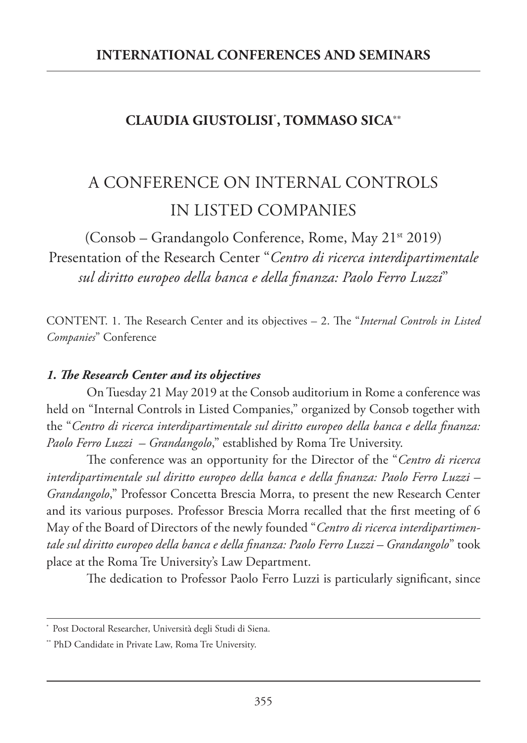## **CLAUDIA GIUSTOLISI**\* **, TOMMASO SICA**\*\*

## A CONFERENCE ON INTERNAL CONTROLS IN LISTED COMPANIES

 $(Consob - Grandangolo Conference, Rome, May 21<sup>st</sup> 2019)$ Presentation of the Research Center "*Centro di ricerca interdipartimentale sul diritto europeo della banca e della finanza: Paolo Ferro Luzzi*"

CONTENT. 1. The Research Center and its objectives – 2. The "*Internal Controls in Listed Companies*" Conference

## *1. The Research Center and its objectives*

On Tuesday 21 May 2019 at the Consob auditorium in Rome a conference was held on "Internal Controls in Listed Companies," organized by Consob together with the "*Centro di ricerca interdipartimentale sul diritto europeo della banca e della finanza: Paolo Ferro Luzzi – Grandangolo*," established by Roma Tre University.

The conference was an opportunity for the Director of the "*Centro di ricerca interdipartimentale sul diritto europeo della banca e della finanza: Paolo Ferro Luzzi – Grandangolo*," Professor Concetta Brescia Morra, to present the new Research Center and its various purposes. Professor Brescia Morra recalled that the first meeting of 6 May of the Board of Directors of the newly founded "*Centro di ricerca interdipartimentale sul diritto europeo della banca e della finanza: Paolo Ferro Luzzi – Grandangolo*" took place at the Roma Tre University's Law Department.

The dedication to Professor Paolo Ferro Luzzi is particularly significant, since

Post Doctoral Researcher, Università degli Studi di Siena.

<sup>\*\*</sup> PhD Candidate in Private Law, Roma Tre University.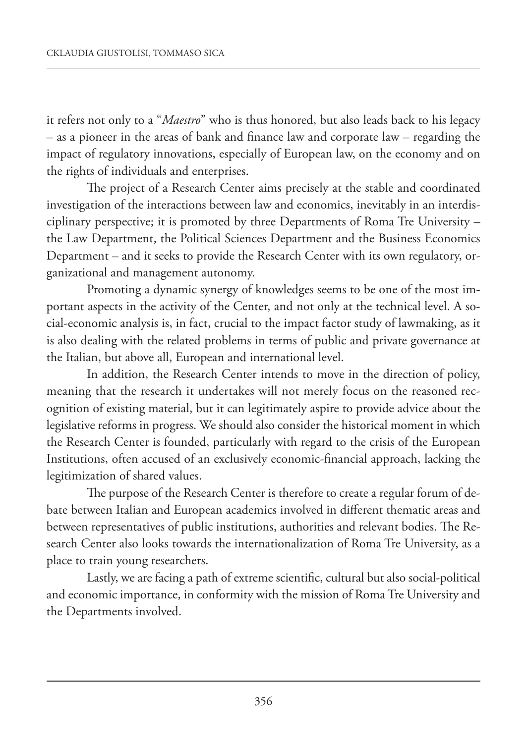it refers not only to a "*Maestro*" who is thus honored, but also leads back to his legacy – as a pioneer in the areas of bank and finance law and corporate law – regarding the impact of regulatory innovations, especially of European law, on the economy and on the rights of individuals and enterprises.

The project of a Research Center aims precisely at the stable and coordinated investigation of the interactions between law and economics, inevitably in an interdisciplinary perspective; it is promoted by three Departments of Roma Tre University – the Law Department, the Political Sciences Department and the Business Economics Department – and it seeks to provide the Research Center with its own regulatory, organizational and management autonomy.

Promoting a dynamic synergy of knowledges seems to be one of the most important aspects in the activity of the Center, and not only at the technical level. A social-economic analysis is, in fact, crucial to the impact factor study of lawmaking, as it is also dealing with the related problems in terms of public and private governance at the Italian, but above all, European and international level.

In addition, the Research Center intends to move in the direction of policy, meaning that the research it undertakes will not merely focus on the reasoned recognition of existing material, but it can legitimately aspire to provide advice about the legislative reforms in progress. We should also consider the historical moment in which the Research Center is founded, particularly with regard to the crisis of the European Institutions, often accused of an exclusively economic-financial approach, lacking the legitimization of shared values.

The purpose of the Research Center is therefore to create a regular forum of debate between Italian and European academics involved in different thematic areas and between representatives of public institutions, authorities and relevant bodies. The Research Center also looks towards the internationalization of Roma Tre University, as a place to train young researchers.

Lastly, we are facing a path of extreme scientific, cultural but also social-political and economic importance, in conformity with the mission of Roma Tre University and the Departments involved.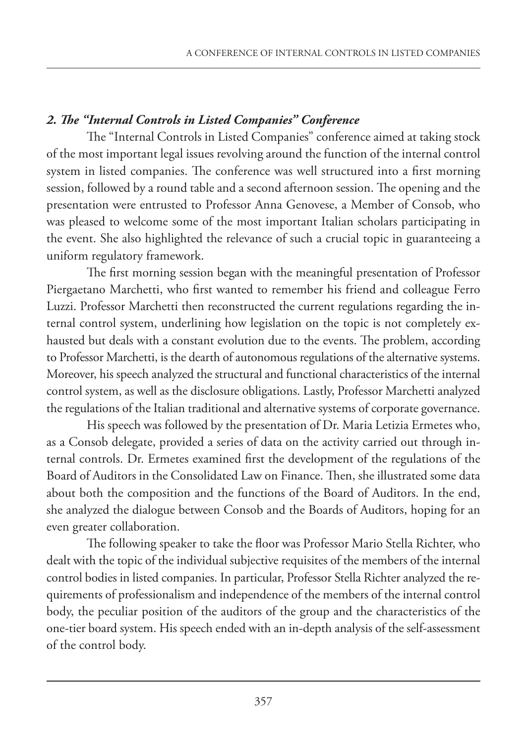## *2. The "Internal Controls in Listed Companies" Conference*

The "Internal Controls in Listed Companies" conference aimed at taking stock of the most important legal issues revolving around the function of the internal control system in listed companies. The conference was well structured into a first morning session, followed by a round table and a second afternoon session. The opening and the presentation were entrusted to Professor Anna Genovese, a Member of Consob, who was pleased to welcome some of the most important Italian scholars participating in the event. She also highlighted the relevance of such a crucial topic in guaranteeing a uniform regulatory framework.

The first morning session began with the meaningful presentation of Professor Piergaetano Marchetti, who first wanted to remember his friend and colleague Ferro Luzzi. Professor Marchetti then reconstructed the current regulations regarding the internal control system, underlining how legislation on the topic is not completely exhausted but deals with a constant evolution due to the events. The problem, according to Professor Marchetti, is the dearth of autonomous regulations of the alternative systems. Moreover, his speech analyzed the structural and functional characteristics of the internal control system, as well as the disclosure obligations. Lastly, Professor Marchetti analyzed the regulations of the Italian traditional and alternative systems of corporate governance.

His speech was followed by the presentation of Dr. Maria Letizia Ermetes who, as a Consob delegate, provided a series of data on the activity carried out through internal controls. Dr. Ermetes examined first the development of the regulations of the Board of Auditors in the Consolidated Law on Finance. Then, she illustrated some data about both the composition and the functions of the Board of Auditors. In the end, she analyzed the dialogue between Consob and the Boards of Auditors, hoping for an even greater collaboration.

The following speaker to take the floor was Professor Mario Stella Richter, who dealt with the topic of the individual subjective requisites of the members of the internal control bodies in listed companies. In particular, Professor Stella Richter analyzed the requirements of professionalism and independence of the members of the internal control body, the peculiar position of the auditors of the group and the characteristics of the one-tier board system. His speech ended with an in-depth analysis of the self-assessment of the control body.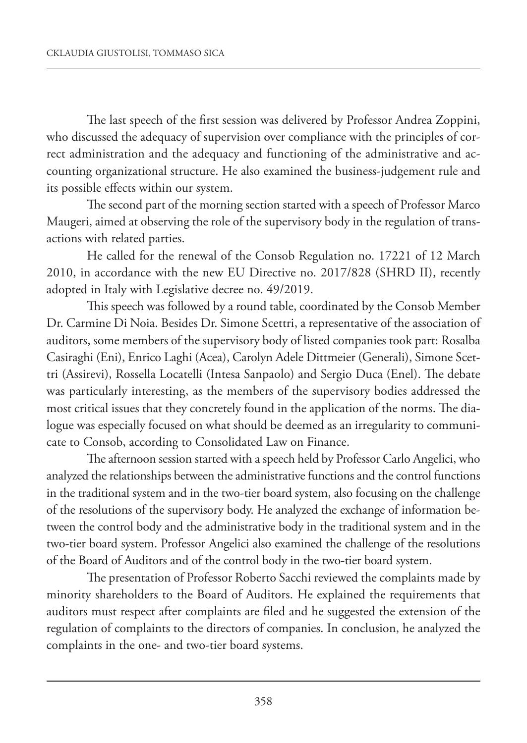The last speech of the first session was delivered by Professor Andrea Zoppini, who discussed the adequacy of supervision over compliance with the principles of correct administration and the adequacy and functioning of the administrative and accounting organizational structure. He also examined the business-judgement rule and its possible effects within our system.

The second part of the morning section started with a speech of Professor Marco Maugeri, aimed at observing the role of the supervisory body in the regulation of transactions with related parties.

He called for the renewal of the Consob Regulation no. 17221 of 12 March 2010, in accordance with the new EU Directive no. 2017/828 (SHRD II), recently adopted in Italy with Legislative decree no. 49/2019.

This speech was followed by a round table, coordinated by the Consob Member Dr. Carmine Di Noia. Besides Dr. Simone Scettri, a representative of the association of auditors, some members of the supervisory body of listed companies took part: Rosalba Casiraghi (Eni), Enrico Laghi (Acea), Carolyn Adele Dittmeier (Generali), Simone Scettri (Assirevi), Rossella Locatelli (Intesa Sanpaolo) and Sergio Duca (Enel). The debate was particularly interesting, as the members of the supervisory bodies addressed the most critical issues that they concretely found in the application of the norms. The dialogue was especially focused on what should be deemed as an irregularity to communicate to Consob, according to Consolidated Law on Finance.

The afternoon session started with a speech held by Professor Carlo Angelici, who analyzed the relationships between the administrative functions and the control functions in the traditional system and in the two-tier board system, also focusing on the challenge of the resolutions of the supervisory body. He analyzed the exchange of information between the control body and the administrative body in the traditional system and in the two-tier board system. Professor Angelici also examined the challenge of the resolutions of the Board of Auditors and of the control body in the two-tier board system.

The presentation of Professor Roberto Sacchi reviewed the complaints made by minority shareholders to the Board of Auditors. He explained the requirements that auditors must respect after complaints are filed and he suggested the extension of the regulation of complaints to the directors of companies. In conclusion, he analyzed the complaints in the one- and two-tier board systems.